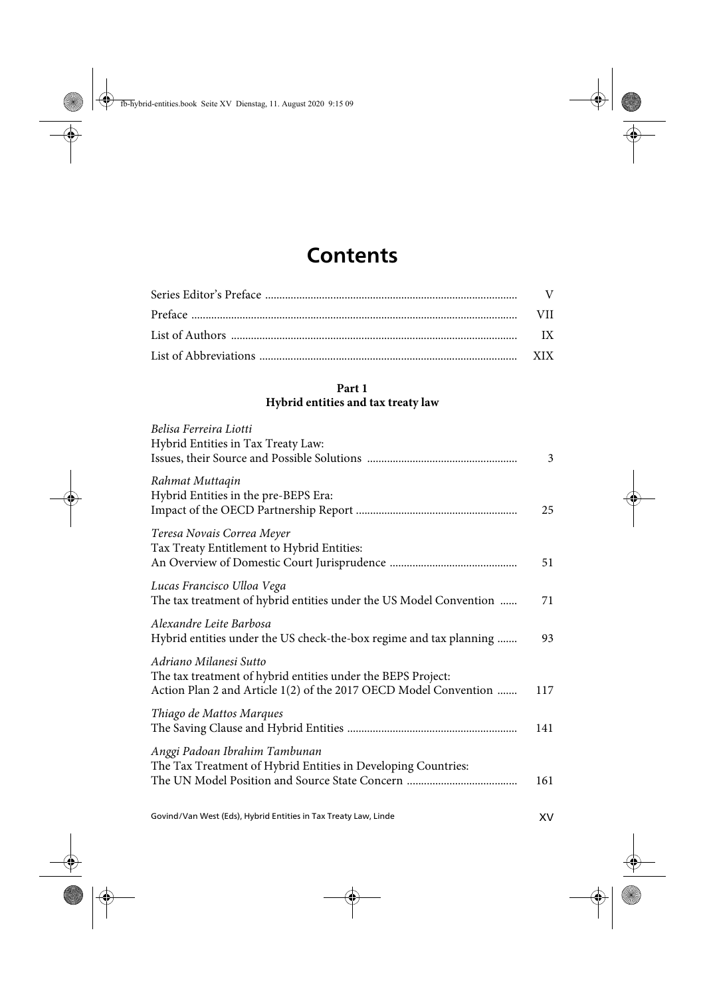## **Contents**

## **Part 1 Hybrid entities and tax treaty law**

| Belisa Ferreira Liotti<br>Hybrid Entities in Tax Treaty Law:                                                                                               | 3   |
|------------------------------------------------------------------------------------------------------------------------------------------------------------|-----|
| Rahmat Muttaqin<br>Hybrid Entities in the pre-BEPS Era:                                                                                                    | 25  |
| Teresa Novais Correa Meyer<br>Tax Treaty Entitlement to Hybrid Entities:                                                                                   | 51  |
| Lucas Francisco Ulloa Vega<br>The tax treatment of hybrid entities under the US Model Convention                                                           | 71  |
| Alexandre Leite Barbosa<br>Hybrid entities under the US check-the-box regime and tax planning                                                              | 93  |
| Adriano Milanesi Sutto<br>The tax treatment of hybrid entities under the BEPS Project:<br>Action Plan 2 and Article 1(2) of the 2017 OECD Model Convention | 117 |
| Thiago de Mattos Marques                                                                                                                                   | 141 |
| Anggi Padoan Ibrahim Tambunan<br>The Tax Treatment of Hybrid Entities in Developing Countries:                                                             | 161 |
|                                                                                                                                                            |     |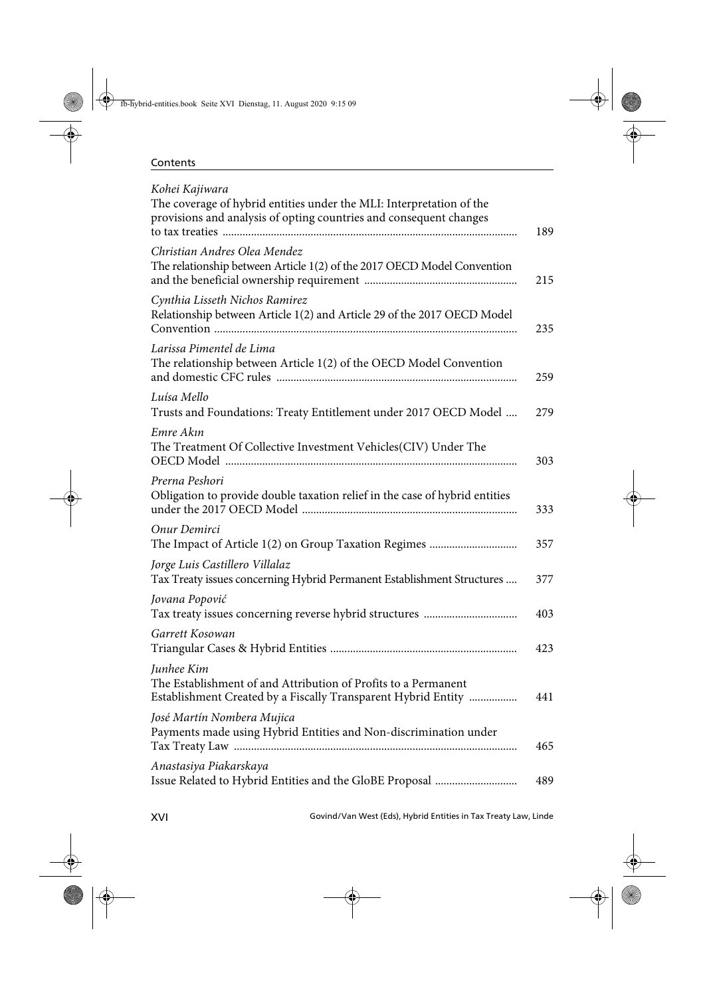## Contents

| Kohei Kajiwara<br>The coverage of hybrid entities under the MLI: Interpretation of the<br>provisions and analysis of opting countries and consequent changes | 189 |
|--------------------------------------------------------------------------------------------------------------------------------------------------------------|-----|
| Christian Andres Olea Mendez<br>The relationship between Article 1(2) of the 2017 OECD Model Convention                                                      | 215 |
| Cynthia Lisseth Nichos Ramirez<br>Relationship between Article 1(2) and Article 29 of the 2017 OECD Model                                                    | 235 |
| Larissa Pimentel de Lima<br>The relationship between Article 1(2) of the OECD Model Convention                                                               | 259 |
| Luísa Mello<br>Trusts and Foundations: Treaty Entitlement under 2017 OECD Model                                                                              | 279 |
| Emre Akın<br>The Treatment Of Collective Investment Vehicles(CIV) Under The                                                                                  | 303 |
| Prerna Peshori<br>Obligation to provide double taxation relief in the case of hybrid entities                                                                | 333 |
| Onur Demirci                                                                                                                                                 | 357 |
| Jorge Luis Castillero Villalaz<br>Tax Treaty issues concerning Hybrid Permanent Establishment Structures                                                     | 377 |
| Jovana Popović                                                                                                                                               | 403 |
| Garrett Kosowan                                                                                                                                              | 423 |
| Junhee Kim<br>The Establishment of and Attribution of Profits to a Permanent<br>Establishment Created by a Fiscally Transparent Hybrid Entity                | 441 |
| José Martín Nombera Mujica<br>Payments made using Hybrid Entities and Non-discrimination under                                                               | 465 |
| Anastasiya Piakarskaya                                                                                                                                       | 489 |